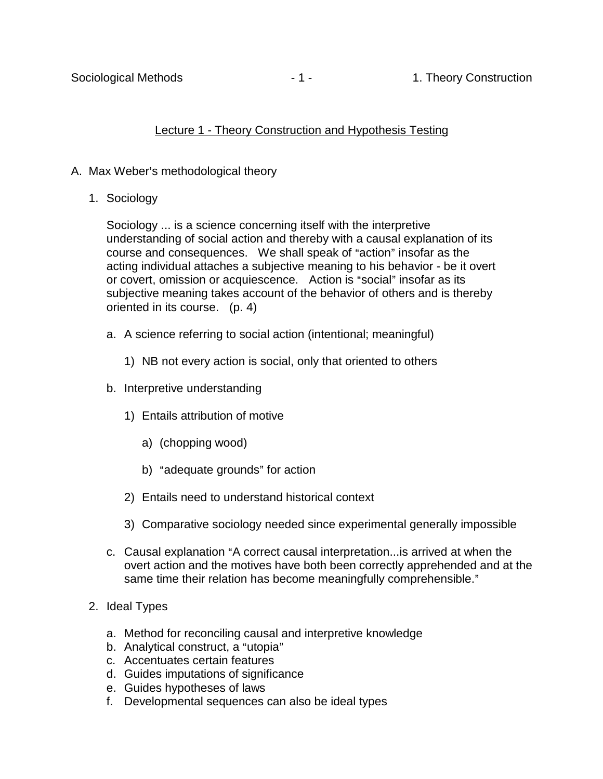# Lecture 1 - Theory Construction and Hypothesis Testing

# A. Max Weber's methodological theory

1. Sociology

Sociology ... is a science concerning itself with the interpretive understanding of social action and thereby with a causal explanation of its course and consequences. We shall speak of "action" insofar as the acting individual attaches a subjective meaning to his behavior - be it overt or covert, omission or acquiescence. Action is "social" insofar as its subjective meaning takes account of the behavior of others and is thereby oriented in its course. (p. 4)

- a. A science referring to social action (intentional; meaningful)
	- 1) NB not every action is social, only that oriented to others
- b. Interpretive understanding
	- 1) Entails attribution of motive
		- a) (chopping wood)
		- b) "adequate grounds" for action
	- 2) Entails need to understand historical context
	- 3) Comparative sociology needed since experimental generally impossible
- c. Causal explanation "A correct causal interpretation... is arrived at when the overt action and the motives have both been correctly apprehended and at the same time their relation has become meaningfully comprehensible."
- 2. Ideal Types
	- a. Method for reconciling causal and interpretive knowledge
	- b. Analytical construct, a "utopia"
	- c. Accentuates certain features
	- d. Guides imputations of significance
	- e. Guides hypotheses of laws
	- f. Developmental sequences can also be ideal types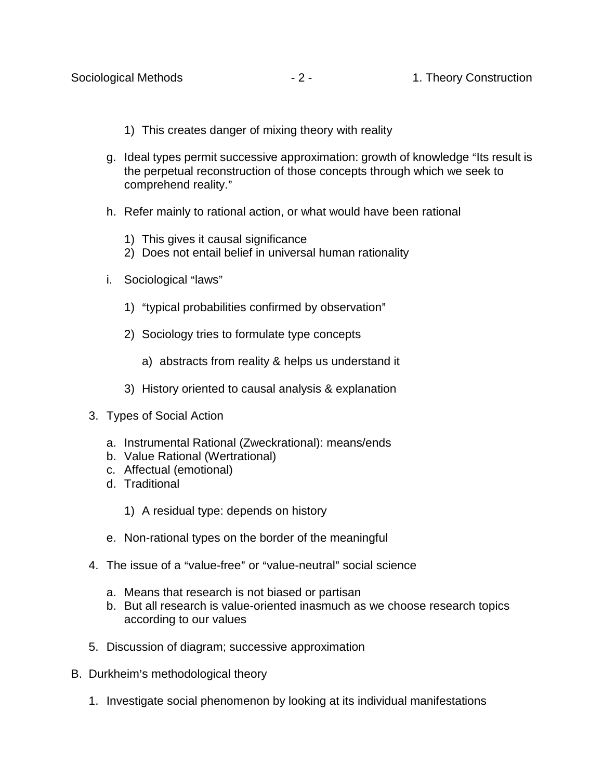- 1) This creates danger of mixing theory with reality
- g. Ideal types permit successive approximation: growth of knowledge "Its result is the perpetual reconstruction of those concepts through which we seek to comprehend reality."
- h. Refer mainly to rational action, or what would have been rational
	- 1) This gives it causal significance
	- 2) Does not entail belief in universal human rationality
- i. Sociological "laws"
	- 1) "typical probabilities confirmed by observation"
	- 2) Sociology tries to formulate type concepts
		- a) abstracts from reality & helps us understand it
	- 3) History oriented to causal analysis & explanation
- 3. Types of Social Action
	- a. Instrumental Rational (Zweckrational): means/ends
	- b. Value Rational (Wertrational)
	- c. Affectual (emotional)
	- d. Traditional
		- 1) A residual type: depends on history
	- e. Non-rational types on the border of the meaningful
- 4. The issue of a "value-free" or "value-neutral" social science
	- a. Means that research is not biased or partisan
	- b. But all research is value-oriented inasmuch as we choose research topics according to our values
- 5. Discussion of diagram; successive approximation
- B. Durkheim's methodological theory
	- 1. Investigate social phenomenon by looking at its individual manifestations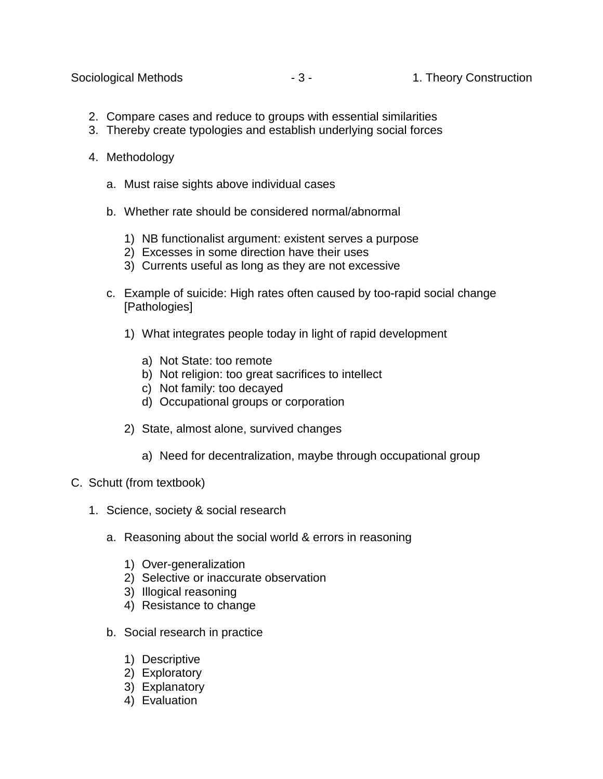Sociological Methods **2006** - 3 - 1. Theory Construction

- 2. Compare cases and reduce to groups with essential similarities
- 3. Thereby create typologies and establish underlying social forces
- 4. Methodology
	- a. Must raise sights above individual cases
	- b. Whether rate should be considered normal/abnormal
		- 1) NB functionalist argument: existent serves a purpose
		- 2) Excesses in some direction have their uses
		- 3) Currents useful as long as they are not excessive
	- c. Example of suicide: High rates often caused by too-rapid social change [Pathologies]
		- 1) What integrates people today in light of rapid development
			- a) Not State: too remote
			- b) Not religion: too great sacrifices to intellect
			- c) Not family: too decayed
			- d) Occupational groups or corporation
		- 2) State, almost alone, survived changes
			- a) Need for decentralization, maybe through occupational group
- C. Schutt (from textbook)
	- 1. Science, society & social research
		- a. Reasoning about the social world & errors in reasoning
			- 1) Over-generalization
			- 2) Selective or inaccurate observation
			- 3) Illogical reasoning
			- 4) Resistance to change
		- b. Social research in practice
			- 1) Descriptive
			- 2) Exploratory
			- 3) Explanatory
			- 4) Evaluation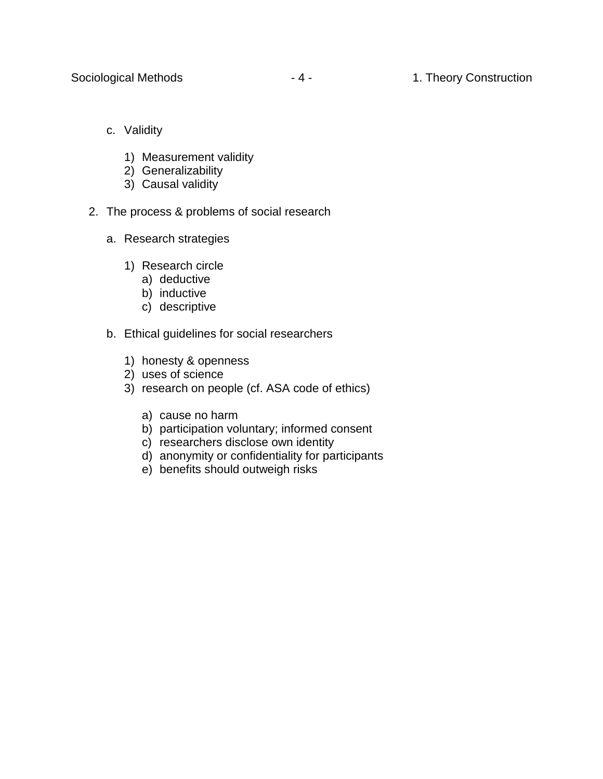- c. Validity
	- 1) Measurement validity
	- 2) Generalizability
	- 3) Causal validity
- 2. The process & problems of social research
	- a. Research strategies
		- 1) Research circle
			- a) deductive
			- b) inductive
			- c) descriptive
	- b. Ethical guidelines for social researchers
		- 1) honesty & openness
		- 2) uses of science
		- 3) research on people (cf. ASA code of ethics)
			- a) cause no harm
			- b) participation voluntary; informed consent
			- c) researchers disclose own identity
			- d) anonymity or confidentiality for participants
			- e) benefits should outweigh risks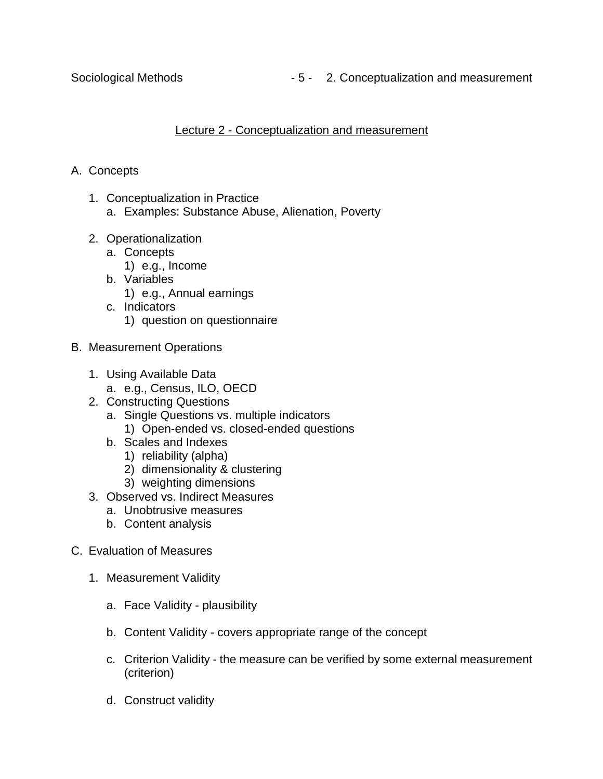Sociological Methods **Fig. 2.** Conceptualization and measurement

# Lecture 2 - Conceptualization and measurement

# A. Concepts

- 1. Conceptualization in Practice
	- a. Examples: Substance Abuse, Alienation, Poverty
- 2. Operationalization
	- a. Concepts
		- 1) e.g., Income
	- b. Variables
		- 1) e.g., Annual earnings
	- c. Indicators 1) question on questionnaire
- B. Measurement Operations
	- 1. Using Available Data
		- a. e.g., Census, ILO, OECD
	- 2. Constructing Questions
		- a. Single Questions vs. multiple indicators
			- 1) Open-ended vs. closed-ended questions
		- b. Scales and Indexes
			- 1) reliability (alpha)
			- 2) dimensionality & clustering
			- 3) weighting dimensions
	- 3. Observed vs. Indirect Measures
		- a. Unobtrusive measures
		- b. Content analysis
- C. Evaluation of Measures
	- 1. Measurement Validity
		- a. Face Validity plausibility
		- b. Content Validity covers appropriate range of the concept
		- c. Criterion Validity the measure can be verified by some external measurement (criterion)
		- d. Construct validity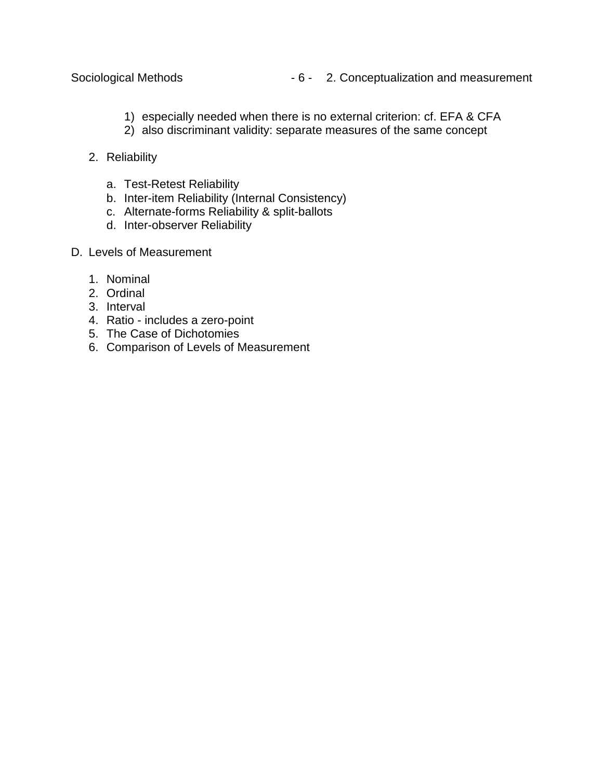- 1) especially needed when there is no external criterion: cf. EFA & CFA
- 2) also discriminant validity: separate measures of the same concept
- 2. Reliability
	- a. Test-Retest Reliability
	- b. Inter-item Reliability (Internal Consistency)
	- c. Alternate-forms Reliability & split-ballots
	- d. Inter-observer Reliability
- D. Levels of Measurement
	- 1. Nominal
	- 2. Ordinal
	- 3. Interval
	- 4. Ratio includes a zero-point
	- 5. The Case of Dichotomies
	- 6. Comparison of Levels of Measurement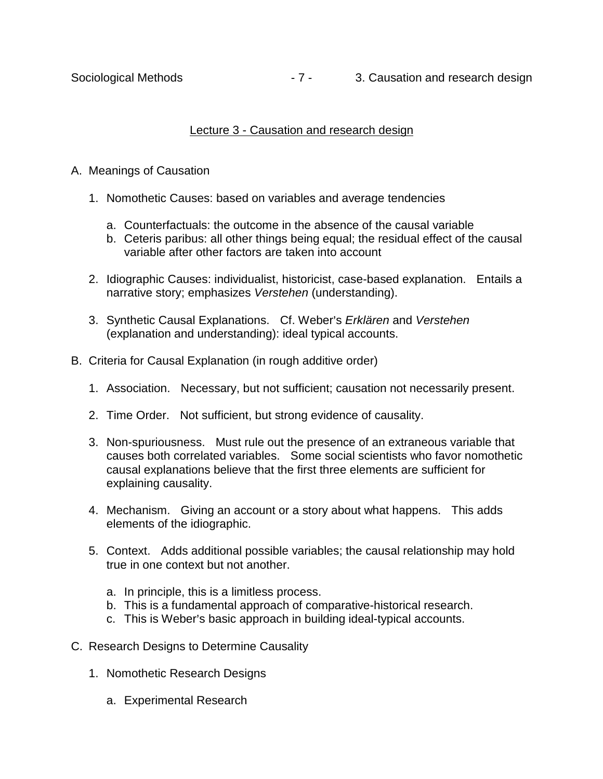# Lecture 3 - Causation and research design

## A. Meanings of Causation

- 1. Nomothetic Causes: based on variables and average tendencies
	- a. Counterfactuals: the outcome in the absence of the causal variable
	- b. Ceteris paribus: all other things being equal; the residual effect of the causal variable after other factors are taken into account
- 2. Idiographic Causes: individualist, historicist, case-based explanation. Entails a narrative story; emphasizes *Verstehen* (understanding).
- 3. Synthetic Causal Explanations. Cf. Weber's *Erklären* and *Verstehen* (explanation and understanding): ideal typical accounts.
- B. Criteria for Causal Explanation (in rough additive order)
	- 1. Association. Necessary, but not sufficient; causation not necessarily present.
	- 2. Time Order. Not sufficient, but strong evidence of causality.
	- 3. Non-spuriousness. Must rule out the presence of an extraneous variable that causes both correlated variables. Some social scientists who favor nomothetic causal explanations believe that the first three elements are sufficient for explaining causality.
	- 4. Mechanism. Giving an account or a story about what happens. This adds elements of the idiographic.
	- 5. Context. Adds additional possible variables; the causal relationship may hold true in one context but not another.
		- a. In principle, this is a limitless process.
		- b. This is a fundamental approach of comparative-historical research.
		- c. This is Weber's basic approach in building ideal-typical accounts.
- C. Research Designs to Determine Causality
	- 1. Nomothetic Research Designs
		- a. Experimental Research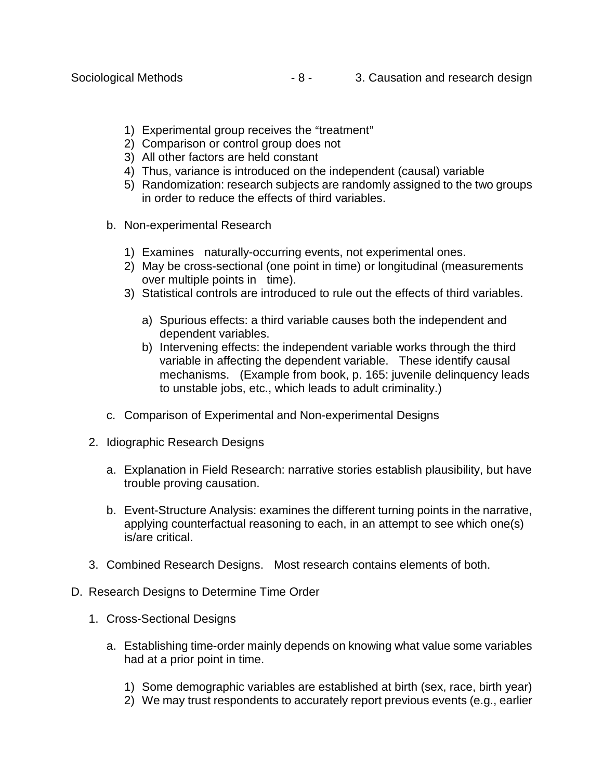- 1) Experimental group receives the "treatment"
- 2) Comparison or control group does not
- 3) All other factors are held constant
- 4) Thus, variance is introduced on the independent (causal) variable
- 5) Randomization: research subjects are randomly assigned to the two groups in order to reduce the effects of third variables.
- b. Non-experimental Research
	- 1) Examines naturally-occurring events, not experimental ones.
	- 2) May be cross-sectional (one point in time) or longitudinal (measurements over multiple points in time).
	- 3) Statistical controls are introduced to rule out the effects of third variables.
		- a) Spurious effects: a third variable causes both the independent and dependent variables.
		- b) Intervening effects: the independent variable works through the third variable in affecting the dependent variable. These identify causal mechanisms. (Example from book, p. 165: juvenile delinquency leads to unstable jobs, etc., which leads to adult criminality.)
- c. Comparison of Experimental and Non-experimental Designs
- 2. Idiographic Research Designs
	- a. Explanation in Field Research: narrative stories establish plausibility, but have trouble proving causation.
	- b. Event-Structure Analysis: examines the different turning points in the narrative, applying counterfactual reasoning to each, in an attempt to see which one(s) is/are critical.
- 3. Combined Research Designs. Most research contains elements of both.
- D. Research Designs to Determine Time Order
	- 1. Cross-Sectional Designs
		- a. Establishing time-order mainly depends on knowing what value some variables had at a prior point in time.
			- 1) Some demographic variables are established at birth (sex, race, birth year)
			- 2) We may trust respondents to accurately report previous events (e.g., earlier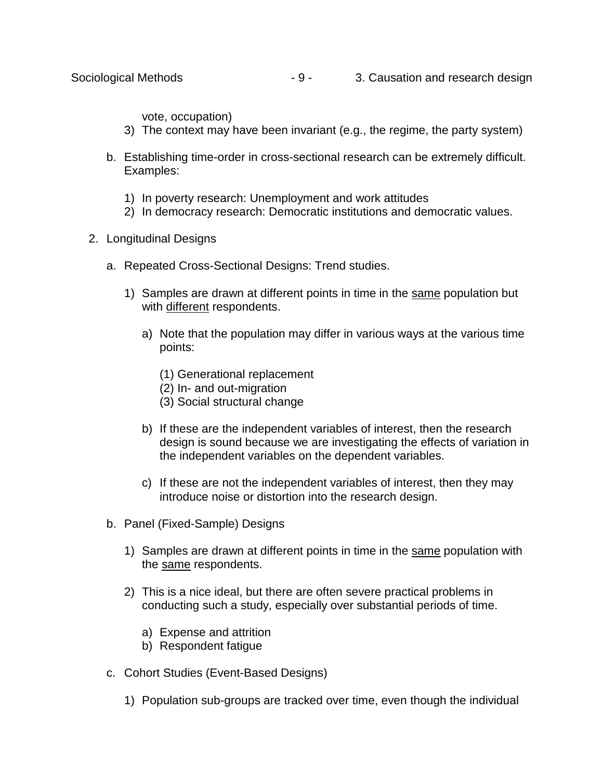vote, occupation)

- 3) The context may have been invariant (e.g., the regime, the party system)
- b. Establishing time-order in cross-sectional research can be extremely difficult. Examples:
	- 1) In poverty research: Unemployment and work attitudes
	- 2) In democracy research: Democratic institutions and democratic values.
- 2. Longitudinal Designs
	- a. Repeated Cross-Sectional Designs: Trend studies.
		- 1) Samples are drawn at different points in time in the same population but with different respondents.
			- a) Note that the population may differ in various ways at the various time points:
				- (1) Generational replacement
				- (2) In- and out-migration
				- (3) Social structural change
			- b) If these are the independent variables of interest, then the research design is sound because we are investigating the effects of variation in the independent variables on the dependent variables.
			- c) If these are not the independent variables of interest, then they may introduce noise or distortion into the research design.
	- b. Panel (Fixed-Sample) Designs
		- 1) Samples are drawn at different points in time in the same population with the same respondents.
		- 2) This is a nice ideal, but there are often severe practical problems in conducting such a study, especially over substantial periods of time.
			- a) Expense and attrition
			- b) Respondent fatigue
	- c. Cohort Studies (Event-Based Designs)
		- 1) Population sub-groups are tracked over time, even though the individual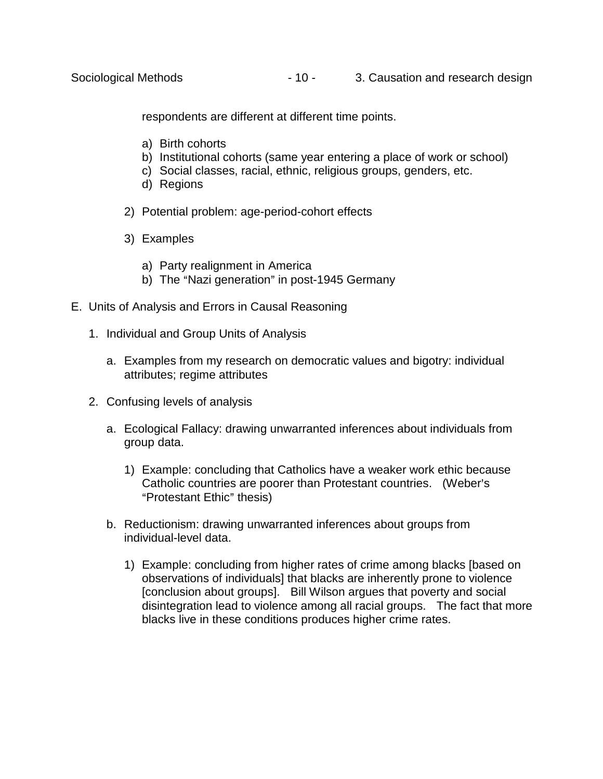respondents are different at different time points.

- a) Birth cohorts
- b) Institutional cohorts (same year entering a place of work or school)
- c) Social classes, racial, ethnic, religious groups, genders, etc.
- d) Regions
- 2) Potential problem: age-period-cohort effects
- 3) Examples
	- a) Party realignment in America
	- b) The "Nazi generation" in post-1945 Germany
- E. Units of Analysis and Errors in Causal Reasoning
	- 1. Individual and Group Units of Analysis
		- a. Examples from my research on democratic values and bigotry: individual attributes; regime attributes
	- 2. Confusing levels of analysis
		- a. Ecological Fallacy: drawing unwarranted inferences about individuals from group data.
			- 1) Example: concluding that Catholics have a weaker work ethic because Catholic countries are poorer than Protestant countries. (Weber's "Protestant Ethic" thesis)
		- b. Reductionism: drawing unwarranted inferences about groups from individual-level data.
			- 1) Example: concluding from higher rates of crime among blacks [based on observations of individuals] that blacks are inherently prone to violence [conclusion about groups]. Bill Wilson argues that poverty and social disintegration lead to violence among all racial groups. The fact that more blacks live in these conditions produces higher crime rates.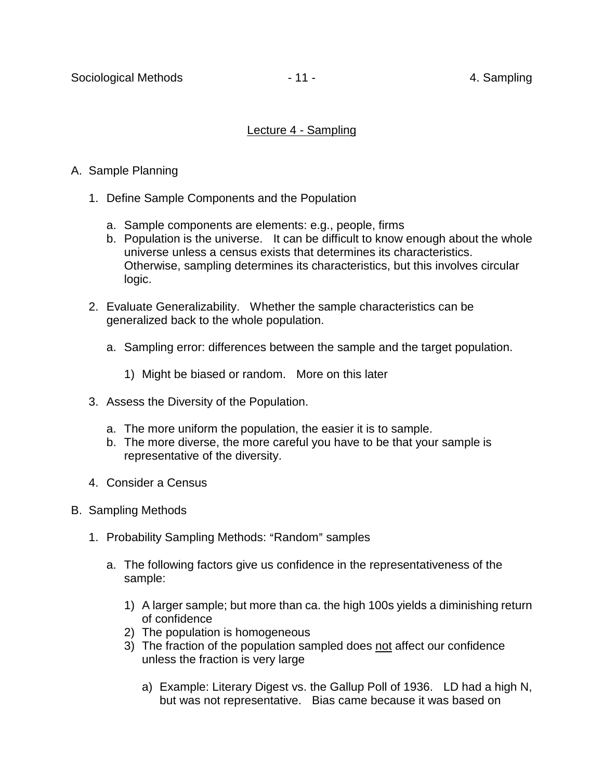## Lecture 4 - Sampling

# A. Sample Planning

- 1. Define Sample Components and the Population
	- a. Sample components are elements: e.g., people, firms
	- b. Population is the universe. It can be difficult to know enough about the whole universe unless a census exists that determines its characteristics. Otherwise, sampling determines its characteristics, but this involves circular logic.
- 2. Evaluate Generalizability. Whether the sample characteristics can be generalized back to the whole population.
	- a. Sampling error: differences between the sample and the target population.
		- 1) Might be biased or random. More on this later
- 3. Assess the Diversity of the Population.
	- a. The more uniform the population, the easier it is to sample.
	- b. The more diverse, the more careful you have to be that your sample is representative of the diversity.
- 4. Consider a Census
- B. Sampling Methods
	- 1. Probability Sampling Methods: "Random" samples
		- a. The following factors give us confidence in the representativeness of the sample:
			- 1) A larger sample; but more than ca. the high 100s yields a diminishing return of confidence
			- 2) The population is homogeneous
			- 3) The fraction of the population sampled does not affect our confidence unless the fraction is very large
				- a) Example: Literary Digest vs. the Gallup Poll of 1936. LD had a high N, but was not representative. Bias came because it was based on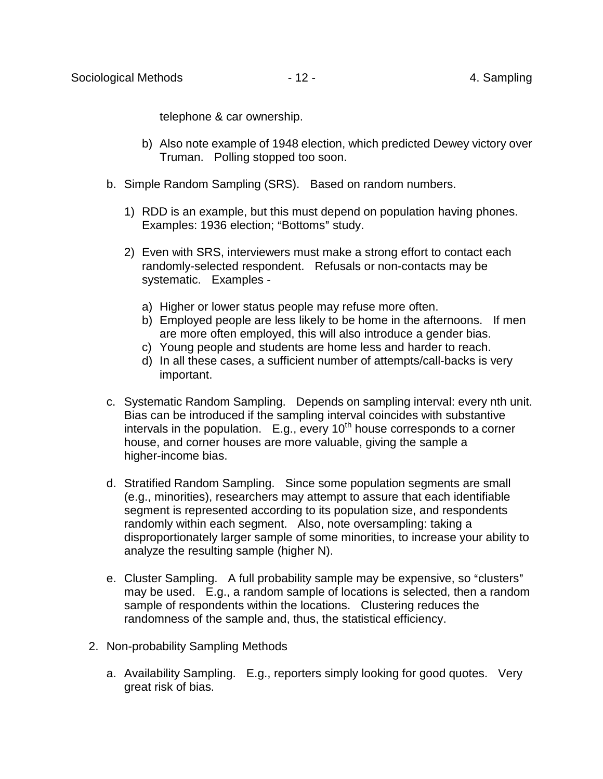telephone & car ownership.

- b) Also note example of 1948 election, which predicted Dewey victory over Truman. Polling stopped too soon.
- b. Simple Random Sampling (SRS). Based on random numbers.
	- 1) RDD is an example, but this must depend on population having phones. Examples: 1936 election; "Bottoms" study.
	- 2) Even with SRS, interviewers must make a strong effort to contact each randomly-selected respondent. Refusals or non-contacts may be systematic. Examples
		- a) Higher or lower status people may refuse more often.
		- b) Employed people are less likely to be home in the afternoons. If men are more often employed, this will also introduce a gender bias.
		- c) Young people and students are home less and harder to reach.
		- d) In all these cases, a sufficient number of attempts/call-backs is very important.
- c. Systematic Random Sampling. Depends on sampling interval: every nth unit. Bias can be introduced if the sampling interval coincides with substantive intervals in the population.  $E.g.,$  every 10<sup>th</sup> house corresponds to a corner house, and corner houses are more valuable, giving the sample a higher-income bias.
- d. Stratified Random Sampling. Since some population segments are small (e.g., minorities), researchers may attempt to assure that each identifiable segment is represented according to its population size, and respondents randomly within each segment. Also, note oversampling: taking a disproportionately larger sample of some minorities, to increase your ability to analyze the resulting sample (higher N).
- e. Cluster Sampling. A full probability sample may be expensive, so "clusters" may be used. E.g., a random sample of locations is selected, then a random sample of respondents within the locations. Clustering reduces the randomness of the sample and, thus, the statistical efficiency.
- 2. Non-probability Sampling Methods
	- a. Availability Sampling. E.g., reporters simply looking for good quotes. Very great risk of bias.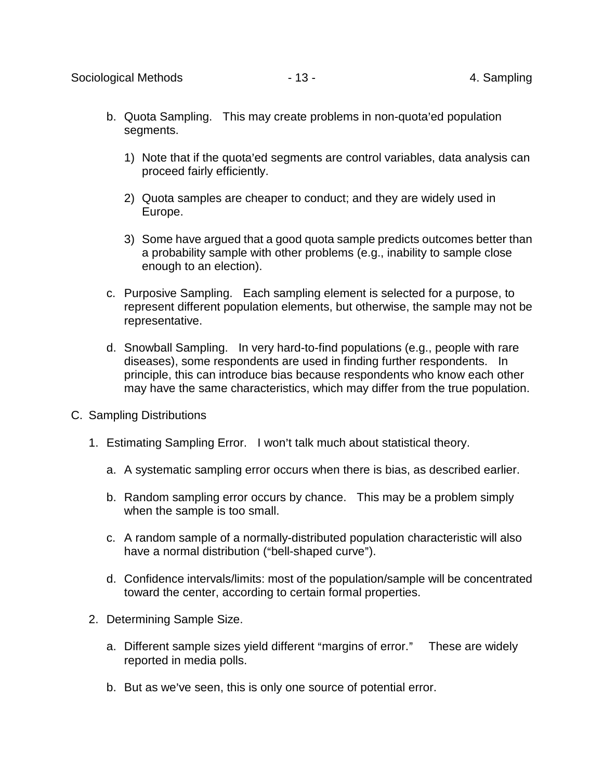- b. Quota Sampling. This may create problems in non-quota'ed population segments.
	- 1) Note that if the quota'ed segments are control variables, data analysis can proceed fairly efficiently.
	- 2) Quota samples are cheaper to conduct; and they are widely used in Europe.
	- 3) Some have argued that a good quota sample predicts outcomes better than a probability sample with other problems (e.g., inability to sample close enough to an election).
- c. Purposive Sampling. Each sampling element is selected for a purpose, to represent different population elements, but otherwise, the sample may not be representative.
- d. Snowball Sampling. In very hard-to-find populations (e.g., people with rare diseases), some respondents are used in finding further respondents. In principle, this can introduce bias because respondents who know each other may have the same characteristics, which may differ from the true population.
- C. Sampling Distributions
	- 1. Estimating Sampling Error. I won't talk much about statistical theory.
		- a. A systematic sampling error occurs when there is bias, as described earlier.
		- b. Random sampling error occurs by chance. This may be a problem simply when the sample is too small.
		- c. A random sample of a normally-distributed population characteristic will also have a normal distribution ("bell-shaped curve").
		- d. Confidence intervals/limits: most of the population/sample will be concentrated toward the center, according to certain formal properties.
	- 2. Determining Sample Size.
		- a. Different sample sizes yield different "margins of error." These are widely reported in media polls.
		- b. But as we've seen, this is only one source of potential error.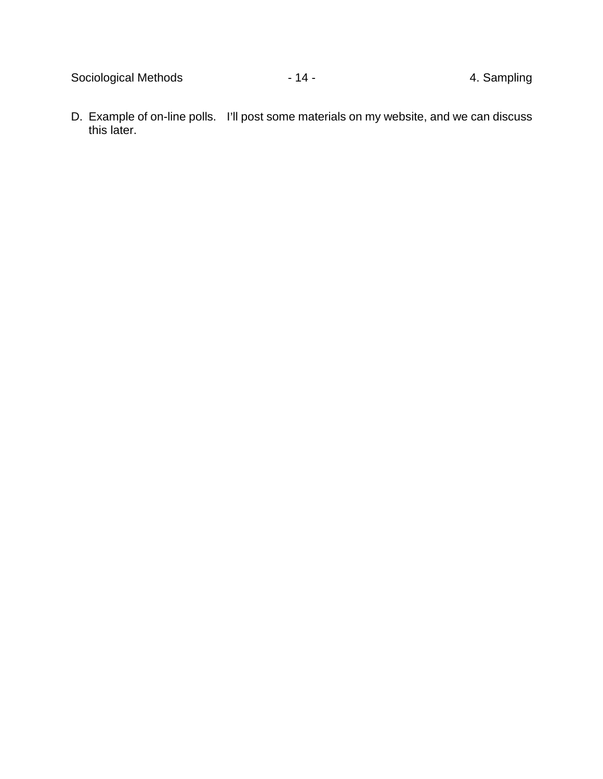D. Example of on-line polls. I'll post some materials on my website, and we can discuss this later.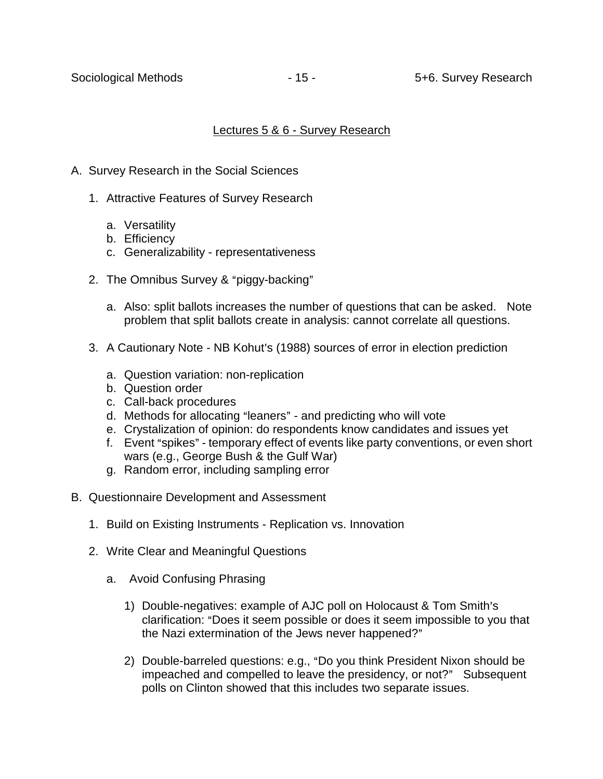#### Lectures 5 & 6 - Survey Research

- A. Survey Research in the Social Sciences
	- 1. Attractive Features of Survey Research
		- a. Versatility
		- b. Efficiency
		- c. Generalizability representativeness
	- 2. The Omnibus Survey & "piggy-backing"
		- a. Also: split ballots increases the number of questions that can be asked. Note problem that split ballots create in analysis: cannot correlate all questions.
	- 3. A Cautionary Note NB Kohut's (1988) sources of error in election prediction
		- a. Question variation: non-replication
		- b. Question order
		- c. Call-back procedures
		- d. Methods for allocating "leaners" and predicting who will vote
		- e. Crystalization of opinion: do respondents know candidates and issues yet
		- f. Event "spikes" temporary effect of events like party conventions, or even short wars (e.g., George Bush & the Gulf War)
		- g. Random error, including sampling error
- B. Questionnaire Development and Assessment
	- 1. Build on Existing Instruments Replication vs. Innovation
	- 2. Write Clear and Meaningful Questions
		- a. Avoid Confusing Phrasing
			- 1) Double-negatives: example of AJC poll on Holocaust & Tom Smith's clarification: "Does it seem possible or does it seem impossible to you that the Nazi extermination of the Jews never happened?"
			- 2) Double-barreled questions: e.g., "Do you think President Nixon should be impeached and compelled to leave the presidency, or not?" Subsequent polls on Clinton showed that this includes two separate issues.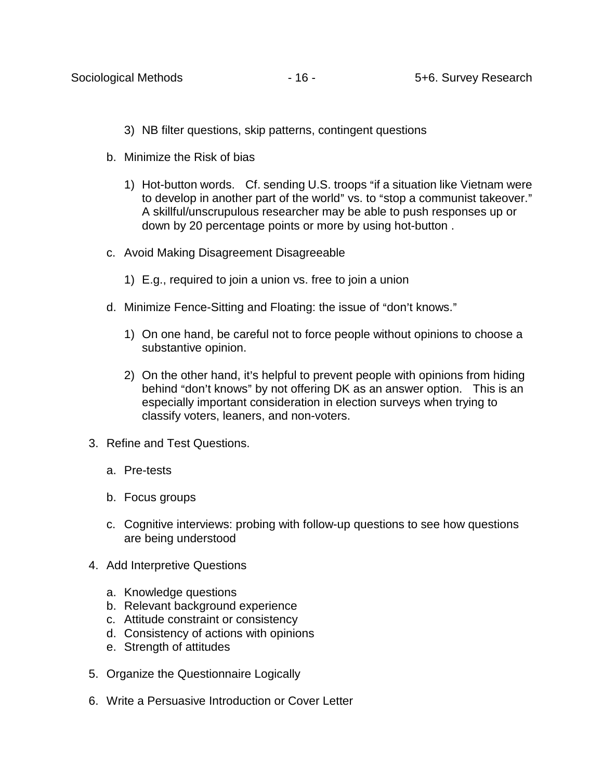- 3) NB filter questions, skip patterns, contingent questions
- b. Minimize the Risk of bias
	- 1) Hot-button words. Cf. sending U.S. troops "if a situation like Vietnam were to develop in another part of the world" vs. to "stop a communist takeover." A skillful/unscrupulous researcher may be able to push responses up or down by 20 percentage points or more by using hot-button .
- c. Avoid Making Disagreement Disagreeable
	- 1) E.g., required to join a union vs. free to join a union
- d. Minimize Fence-Sitting and Floating: the issue of "don't knows."
	- 1) On one hand, be careful not to force people without opinions to choose a substantive opinion.
	- 2) On the other hand, it's helpful to prevent people with opinions from hiding behind "don't knows" by not offering DK as an answer option. This is an especially important consideration in election surveys when trying to classify voters, leaners, and non-voters.
- 3. Refine and Test Questions.
	- a. Pre-tests
	- b. Focus groups
	- c. Cognitive interviews: probing with follow-up questions to see how questions are being understood
- 4. Add Interpretive Questions
	- a. Knowledge questions
	- b. Relevant background experience
	- c. Attitude constraint or consistency
	- d. Consistency of actions with opinions
	- e. Strength of attitudes
- 5. Organize the Questionnaire Logically
- 6. Write a Persuasive Introduction or Cover Letter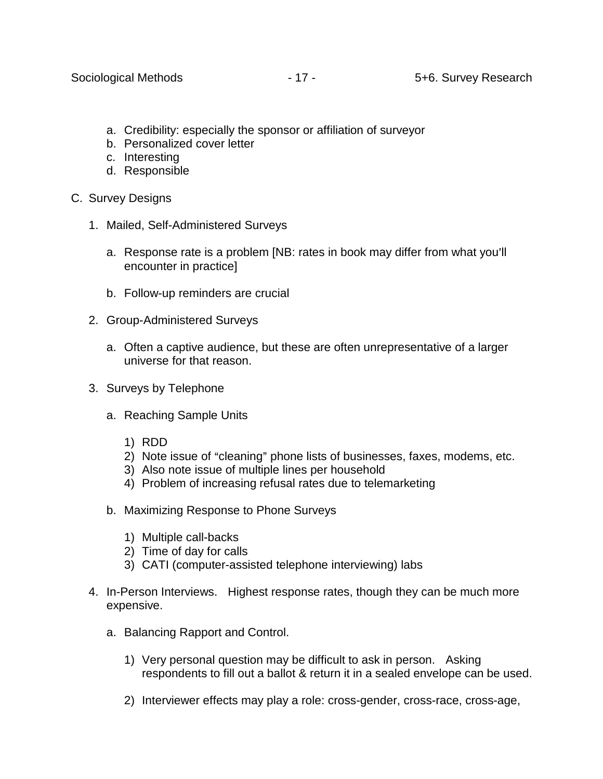- a. Credibility: especially the sponsor or affiliation of surveyor
- b. Personalized cover letter
- c. Interesting
- d. Responsible
- C. Survey Designs
	- 1. Mailed, Self-Administered Surveys
		- a. Response rate is a problem [NB: rates in book may differ from what you'll encounter in practice]
		- b. Follow-up reminders are crucial
	- 2. Group-Administered Surveys
		- a. Often a captive audience, but these are often unrepresentative of a larger universe for that reason.
	- 3. Surveys by Telephone
		- a. Reaching Sample Units
			- 1) RDD
			- 2) Note issue of "cleaning" phone lists of businesses, faxes, modems, etc.
			- 3) Also note issue of multiple lines per household
			- 4) Problem of increasing refusal rates due to telemarketing
		- b. Maximizing Response to Phone Surveys
			- 1) Multiple call-backs
			- 2) Time of day for calls
			- 3) CATI (computer-assisted telephone interviewing) labs
	- 4. In-Person Interviews. Highest response rates, though they can be much more expensive.
		- a. Balancing Rapport and Control.
			- 1) Very personal question may be difficult to ask in person. Asking respondents to fill out a ballot & return it in a sealed envelope can be used.
			- 2) Interviewer effects may play a role: cross-gender, cross-race, cross-age,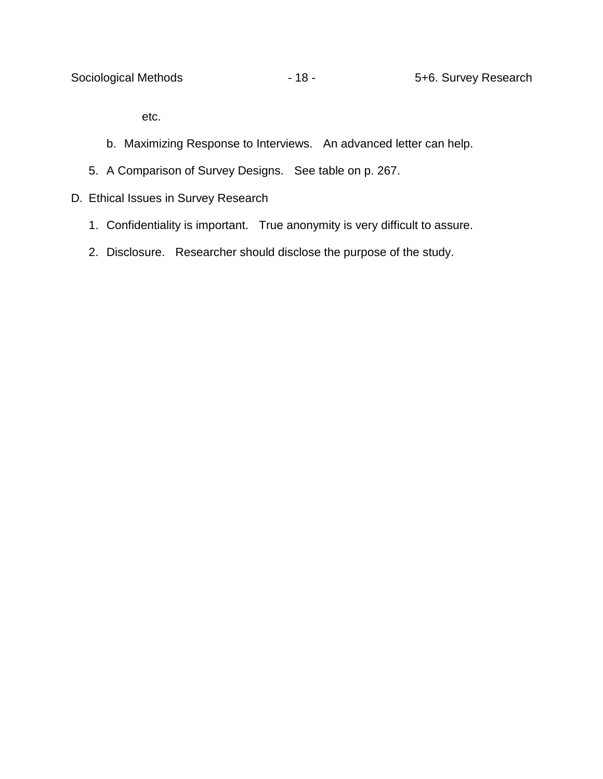etc.

- b. Maximizing Response to Interviews. An advanced letter can help.
- 5. A Comparison of Survey Designs. See table on p. 267.
- D. Ethical Issues in Survey Research
	- 1. Confidentiality is important. True anonymity is very difficult to assure.
	- 2. Disclosure. Researcher should disclose the purpose of the study.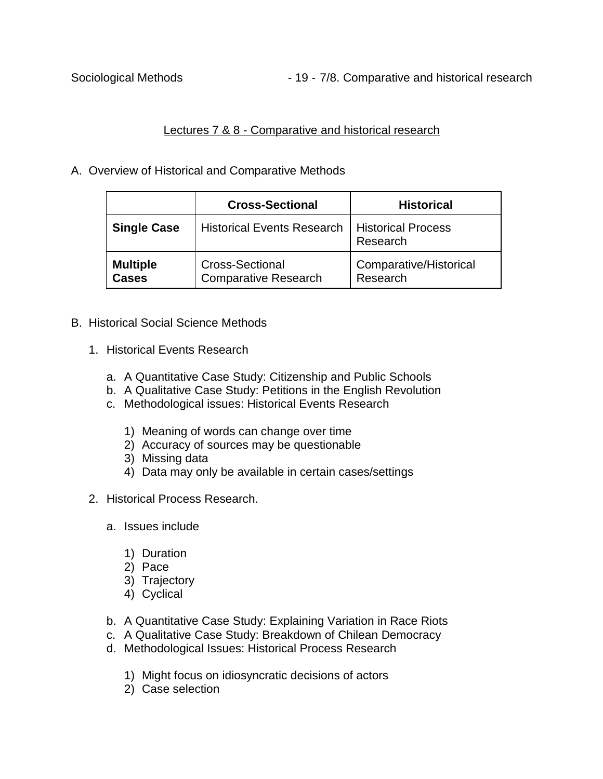Sociological Methods **- 19 - 7/8. Comparative and historical research** 

# Lectures 7 & 8 - Comparative and historical research

A. Overview of Historical and Comparative Methods

|                          | <b>Cross-Sectional</b>                                | <b>Historical</b>                     |
|--------------------------|-------------------------------------------------------|---------------------------------------|
| <b>Single Case</b>       | <b>Historical Events Research</b>                     | <b>Historical Process</b><br>Research |
| <b>Multiple</b><br>Cases | <b>Cross-Sectional</b><br><b>Comparative Research</b> | Comparative/Historical<br>Research    |

#### B. Historical Social Science Methods

- 1. Historical Events Research
	- a. A Quantitative Case Study: Citizenship and Public Schools
	- b. A Qualitative Case Study: Petitions in the English Revolution
	- c. Methodological issues: Historical Events Research
		- 1) Meaning of words can change over time
		- 2) Accuracy of sources may be questionable
		- 3) Missing data
		- 4) Data may only be available in certain cases/settings
- 2. Historical Process Research.
	- a. Issues include
		- 1) Duration
		- 2) Pace
		- 3) Trajectory
		- 4) Cyclical
	- b. A Quantitative Case Study: Explaining Variation in Race Riots
	- c. A Qualitative Case Study: Breakdown of Chilean Democracy
	- d. Methodological Issues: Historical Process Research
		- 1) Might focus on idiosyncratic decisions of actors
		- 2) Case selection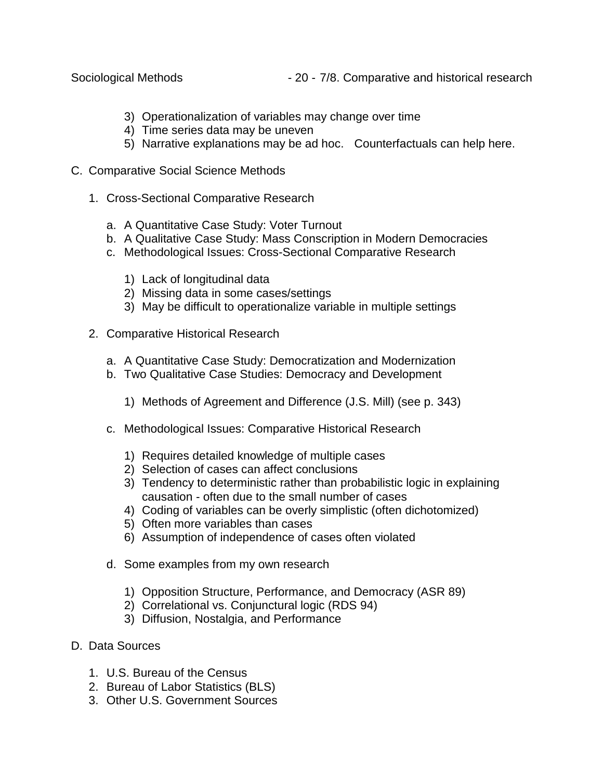- 3) Operationalization of variables may change over time
- 4) Time series data may be uneven
- 5) Narrative explanations may be ad hoc. Counterfactuals can help here.
- C. Comparative Social Science Methods
	- 1. Cross-Sectional Comparative Research
		- a. A Quantitative Case Study: Voter Turnout
		- b. A Qualitative Case Study: Mass Conscription in Modern Democracies
		- c. Methodological Issues: Cross-Sectional Comparative Research
			- 1) Lack of longitudinal data
			- 2) Missing data in some cases/settings
			- 3) May be difficult to operationalize variable in multiple settings
	- 2. Comparative Historical Research
		- a. A Quantitative Case Study: Democratization and Modernization
		- b. Two Qualitative Case Studies: Democracy and Development
			- 1) Methods of Agreement and Difference (J.S. Mill) (see p. 343)
		- c. Methodological Issues: Comparative Historical Research
			- 1) Requires detailed knowledge of multiple cases
			- 2) Selection of cases can affect conclusions
			- 3) Tendency to deterministic rather than probabilistic logic in explaining causation - often due to the small number of cases
			- 4) Coding of variables can be overly simplistic (often dichotomized)
			- 5) Often more variables than cases
			- 6) Assumption of independence of cases often violated
		- d. Some examples from my own research
			- 1) Opposition Structure, Performance, and Democracy (ASR 89)
			- 2) Correlational vs. Conjunctural logic (RDS 94)
			- 3) Diffusion, Nostalgia, and Performance
- D. Data Sources
	- 1. U.S. Bureau of the Census
	- 2. Bureau of Labor Statistics (BLS)
	- 3. Other U.S. Government Sources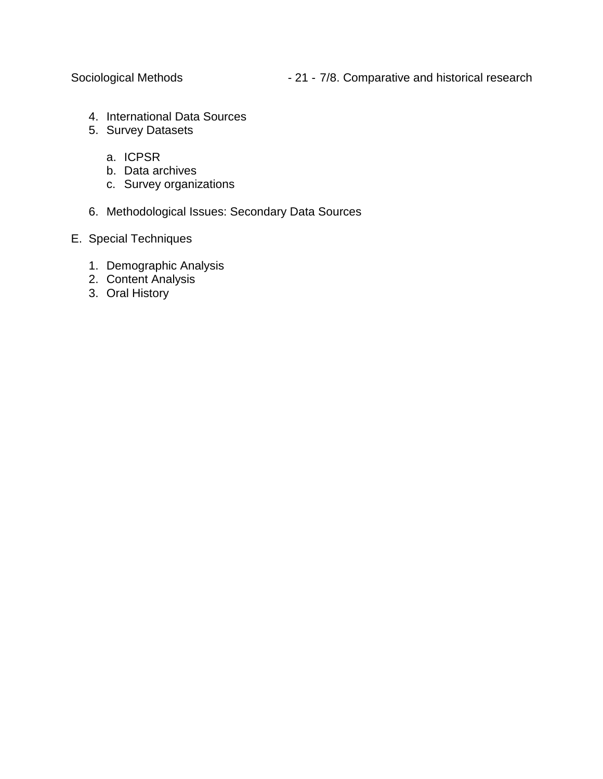- 4. International Data Sources
- 5. Survey Datasets
	- a. ICPSR
	- b. Data archives
	- c. Survey organizations
- 6. Methodological Issues: Secondary Data Sources
- E. Special Techniques
	- 1. Demographic Analysis
	- 2. Content Analysis
	- 3. Oral History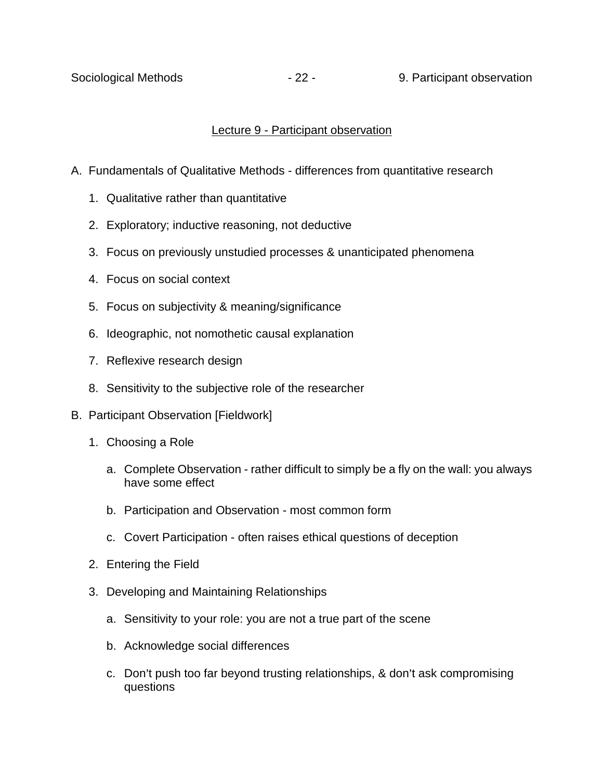Sociological Methods **- 22 - 9. Participant observation** 

### Lecture 9 - Participant observation

- A. Fundamentals of Qualitative Methods differences from quantitative research
	- 1. Qualitative rather than quantitative
	- 2. Exploratory; inductive reasoning, not deductive
	- 3. Focus on previously unstudied processes & unanticipated phenomena
	- 4. Focus on social context
	- 5. Focus on subjectivity & meaning/significance
	- 6. Ideographic, not nomothetic causal explanation
	- 7. Reflexive research design
	- 8. Sensitivity to the subjective role of the researcher
- B. Participant Observation [Fieldwork]
	- 1. Choosing a Role
		- a. Complete Observation rather difficult to simply be a fly on the wall: you always have some effect
		- b. Participation and Observation most common form
		- c. Covert Participation often raises ethical questions of deception
	- 2. Entering the Field
	- 3. Developing and Maintaining Relationships
		- a. Sensitivity to your role: you are not a true part of the scene
		- b. Acknowledge social differences
		- c. Don't push too far beyond trusting relationships, & don't ask compromising questions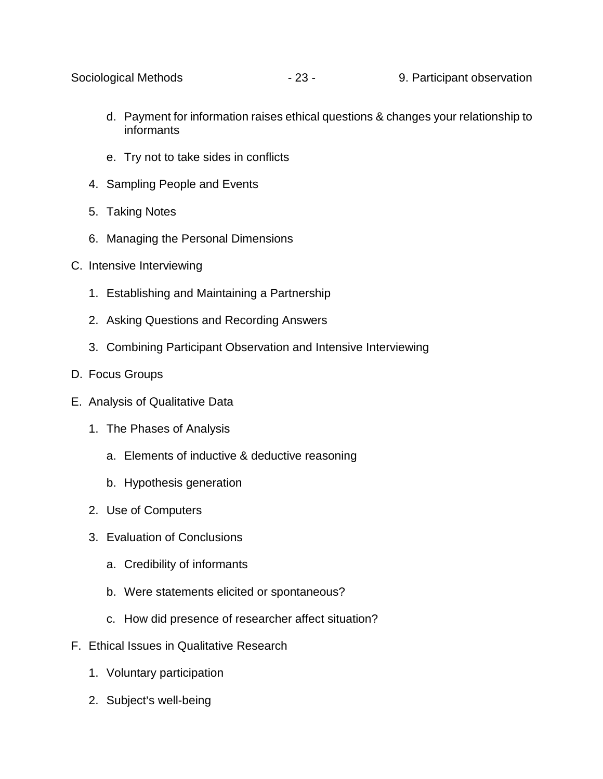- d. Payment for information raises ethical questions & changes your relationship to informants
- e. Try not to take sides in conflicts
- 4. Sampling People and Events
- 5. Taking Notes
- 6. Managing the Personal Dimensions
- C. Intensive Interviewing
	- 1. Establishing and Maintaining a Partnership
	- 2. Asking Questions and Recording Answers
	- 3. Combining Participant Observation and Intensive Interviewing
- D. Focus Groups
- E. Analysis of Qualitative Data
	- 1. The Phases of Analysis
		- a. Elements of inductive & deductive reasoning
		- b. Hypothesis generation
	- 2. Use of Computers
	- 3. Evaluation of Conclusions
		- a. Credibility of informants
		- b. Were statements elicited or spontaneous?
		- c. How did presence of researcher affect situation?
- F. Ethical Issues in Qualitative Research
	- 1. Voluntary participation
	- 2. Subject's well-being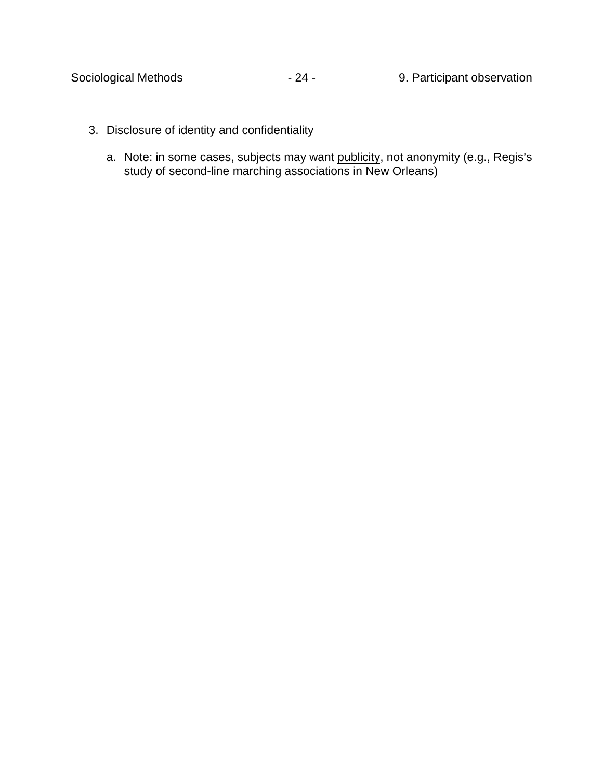- 3. Disclosure of identity and confidentiality
	- a. Note: in some cases, subjects may want publicity, not anonymity (e.g., Regis's study of second-line marching associations in New Orleans)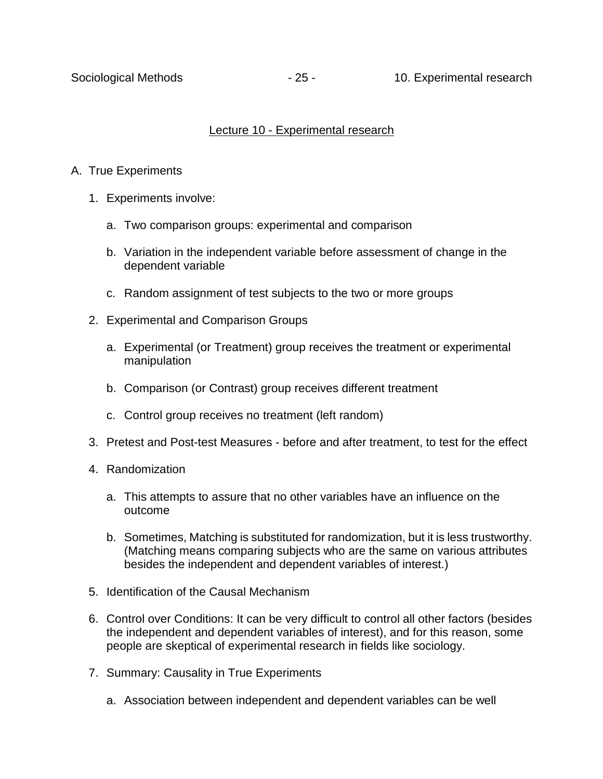### Lecture 10 - Experimental research

- A. True Experiments
	- 1. Experiments involve:
		- a. Two comparison groups: experimental and comparison
		- b. Variation in the independent variable before assessment of change in the dependent variable
		- c. Random assignment of test subjects to the two or more groups
	- 2. Experimental and Comparison Groups
		- a. Experimental (or Treatment) group receives the treatment or experimental manipulation
		- b. Comparison (or Contrast) group receives different treatment
		- c. Control group receives no treatment (left random)
	- 3. Pretest and Post-test Measures before and after treatment, to test for the effect
	- 4. Randomization
		- a. This attempts to assure that no other variables have an influence on the outcome
		- b. Sometimes, Matching is substituted for randomization, but it is less trustworthy. (Matching means comparing subjects who are the same on various attributes besides the independent and dependent variables of interest.)
	- 5. Identification of the Causal Mechanism
	- 6. Control over Conditions: It can be very difficult to control all other factors (besides the independent and dependent variables of interest), and for this reason, some people are skeptical of experimental research in fields like sociology.
	- 7. Summary: Causality in True Experiments
		- a. Association between independent and dependent variables can be well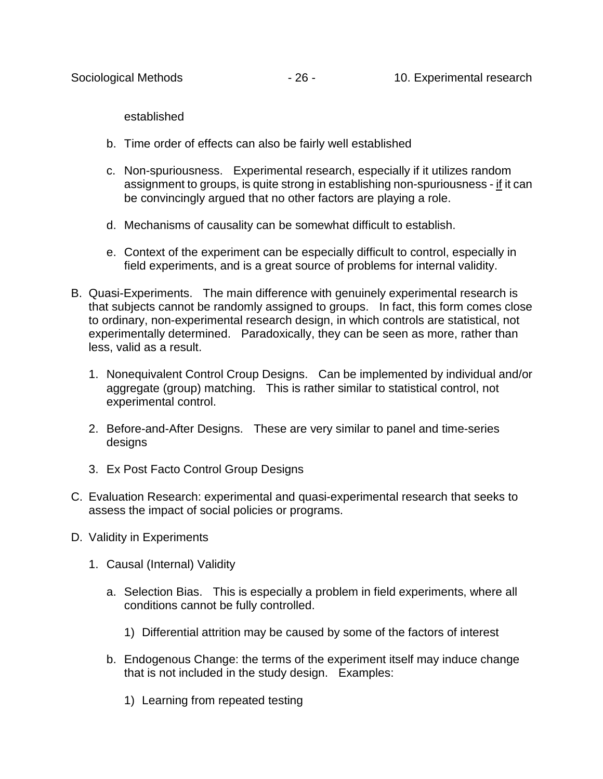established

- b. Time order of effects can also be fairly well established
- c. Non-spuriousness. Experimental research, especially if it utilizes random assignment to groups, is quite strong in establishing non-spuriousness - if it can be convincingly argued that no other factors are playing a role.
- d. Mechanisms of causality can be somewhat difficult to establish.
- e. Context of the experiment can be especially difficult to control, especially in field experiments, and is a great source of problems for internal validity.
- B. Quasi-Experiments. The main difference with genuinely experimental research is that subjects cannot be randomly assigned to groups. In fact, this form comes close to ordinary, non-experimental research design, in which controls are statistical, not experimentally determined. Paradoxically, they can be seen as more, rather than less, valid as a result.
	- 1. Nonequivalent Control Croup Designs. Can be implemented by individual and/or aggregate (group) matching. This is rather similar to statistical control, not experimental control.
	- 2. Before-and-After Designs. These are very similar to panel and time-series designs
	- 3. Ex Post Facto Control Group Designs
- C. Evaluation Research: experimental and quasi-experimental research that seeks to assess the impact of social policies or programs.
- D. Validity in Experiments
	- 1. Causal (Internal) Validity
		- a. Selection Bias. This is especially a problem in field experiments, where all conditions cannot be fully controlled.
			- 1) Differential attrition may be caused by some of the factors of interest
		- b. Endogenous Change: the terms of the experiment itself may induce change that is not included in the study design. Examples:
			- 1) Learning from repeated testing